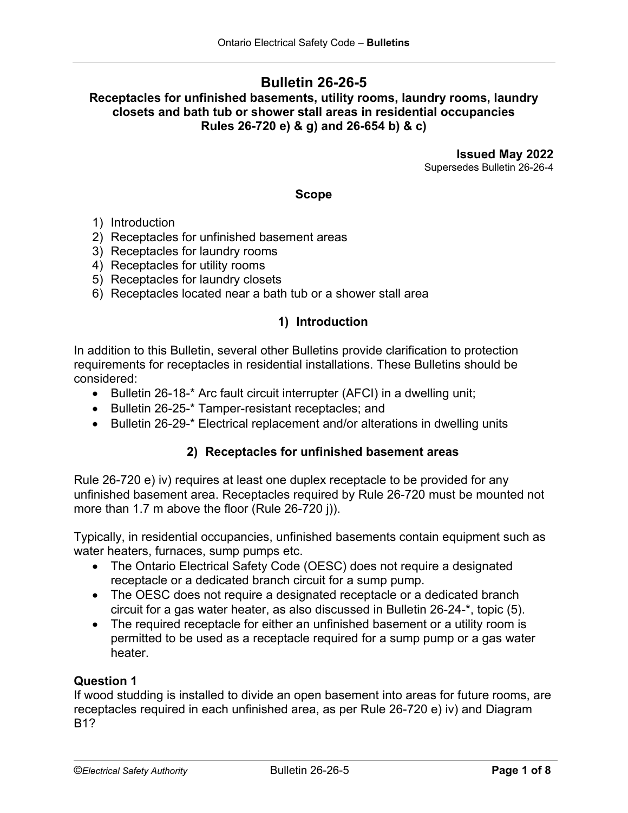# **Bulletin 26-26-5**

**Receptacles for unfinished basements, utility rooms, laundry rooms, laundry closets and bath tub or shower stall areas in residential occupancies Rules 26-720 e) & g) and 26-654 b) & c)**

> **Issued May 2022** Supersedes Bulletin 26-26-4

### **Scope**

- 1) Introduction
- 2) Receptacles for unfinished basement areas
- 3) Receptacles for laundry rooms
- 4) Receptacles for utility rooms
- 5) Receptacles for laundry closets
- 6) Receptacles located near a bath tub or a shower stall area

## **1) Introduction**

In addition to this Bulletin, several other Bulletins provide clarification to protection requirements for receptacles in residential installations. These Bulletins should be considered:

- Bulletin 26-18-\* Arc fault circuit interrupter (AFCI) in a dwelling unit;
- Bulletin 26-25-\* Tamper-resistant receptacles; and
- Bulletin 26-29-\* Electrical replacement and/or alterations in dwelling units

## **2) Receptacles for unfinished basement areas**

Rule 26-720 e) iv) requires at least one duplex receptacle to be provided for any unfinished basement area. Receptacles required by Rule 26-720 must be mounted not more than 1.7 m above the floor (Rule 26-720 j)).

Typically, in residential occupancies, unfinished basements contain equipment such as water heaters, furnaces, sump pumps etc.

- The Ontario Electrical Safety Code (OESC) does not require a designated receptacle or a dedicated branch circuit for a sump pump.
- The OESC does not require a designated receptacle or a dedicated branch circuit for a gas water heater, as also discussed in Bulletin 26-24-\*, topic (5).
- The required receptacle for either an unfinished basement or a utility room is permitted to be used as a receptacle required for a sump pump or a gas water heater.

## **Question 1**

If wood studding is installed to divide an open basement into areas for future rooms, are receptacles required in each unfinished area, as per Rule 26-720 e) iv) and Diagram B1?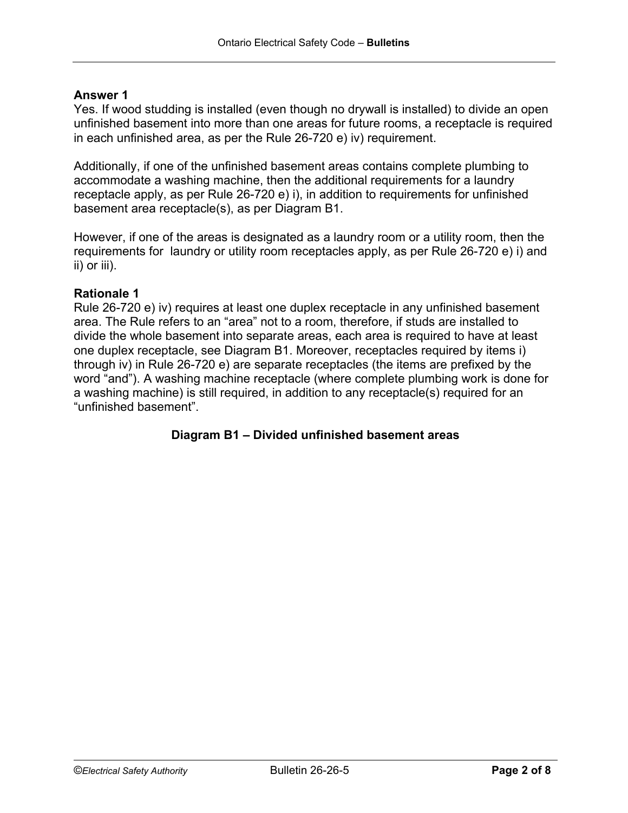## **Answer 1**

Yes. If wood studding is installed (even though no drywall is installed) to divide an open unfinished basement into more than one areas for future rooms, a receptacle is required in each unfinished area, as per the Rule 26-720 e) iv) requirement.

Additionally, if one of the unfinished basement areas contains complete plumbing to accommodate a washing machine, then the additional requirements for a laundry receptacle apply, as per Rule 26-720 e) i), in addition to requirements for unfinished basement area receptacle(s), as per Diagram B1.

However, if one of the areas is designated as a laundry room or a utility room, then the requirements for laundry or utility room receptacles apply, as per Rule 26-720 e) i) and ii) or iii).

### **Rationale 1**

Rule 26-720 e) iv) requires at least one duplex receptacle in any unfinished basement area. The Rule refers to an "area" not to a room, therefore, if studs are installed to divide the whole basement into separate areas, each area is required to have at least one duplex receptacle, see Diagram B1. Moreover, receptacles required by items i) through iv) in Rule 26-720 e) are separate receptacles (the items are prefixed by the word "and"). A washing machine receptacle (where complete plumbing work is done for a washing machine) is still required, in addition to any receptacle(s) required for an "unfinished basement".

## **Diagram B1 – Divided unfinished basement areas**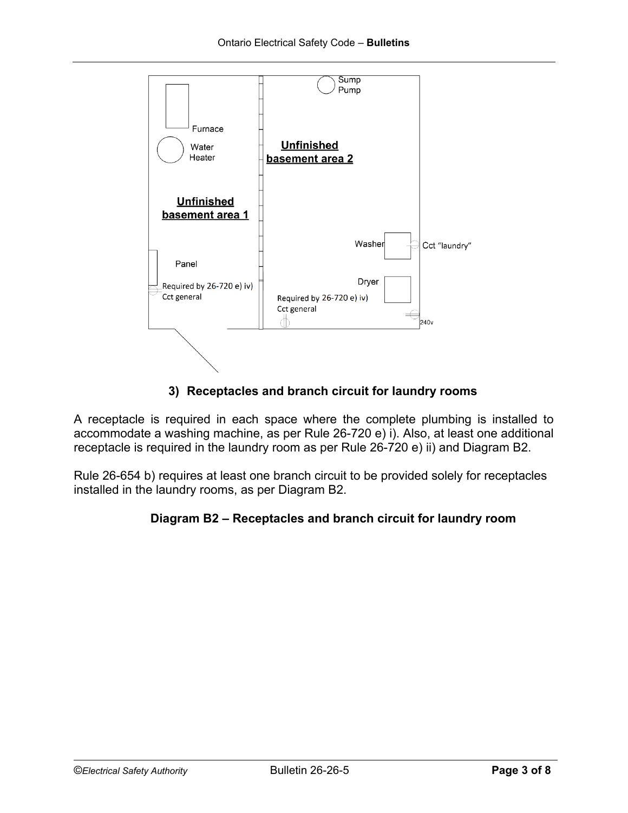

# **3) Receptacles and branch circuit for laundry rooms**

A receptacle is required in each space where the complete plumbing is installed to accommodate a washing machine, as per Rule 26-720 e) i). Also, at least one additional receptacle is required in the laundry room as per Rule 26-720 e) ii) and Diagram B2.

Rule 26-654 b) requires at least one branch circuit to be provided solely for receptacles installed in the laundry rooms, as per Diagram B2.

# **Diagram B2 – Receptacles and branch circuit for laundry room**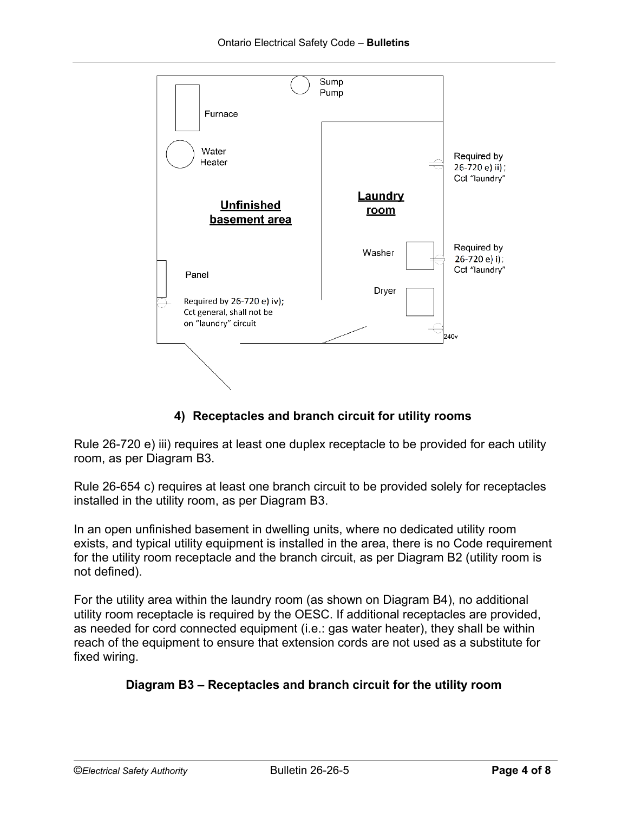

# **4) Receptacles and branch circuit for utility rooms**

Rule 26-720 e) iii) requires at least one duplex receptacle to be provided for each utility room, as per Diagram B3.

Rule 26-654 c) requires at least one branch circuit to be provided solely for receptacles installed in the utility room, as per Diagram B3.

In an open unfinished basement in dwelling units, where no dedicated utility room exists, and typical utility equipment is installed in the area, there is no Code requirement for the utility room receptacle and the branch circuit, as per Diagram B2 (utility room is not defined).

For the utility area within the laundry room (as shown on Diagram B4), no additional utility room receptacle is required by the OESC. If additional receptacles are provided, as needed for cord connected equipment (i.e.: gas water heater), they shall be within reach of the equipment to ensure that extension cords are not used as a substitute for fixed wiring.

# **Diagram B3 – Receptacles and branch circuit for the utility room**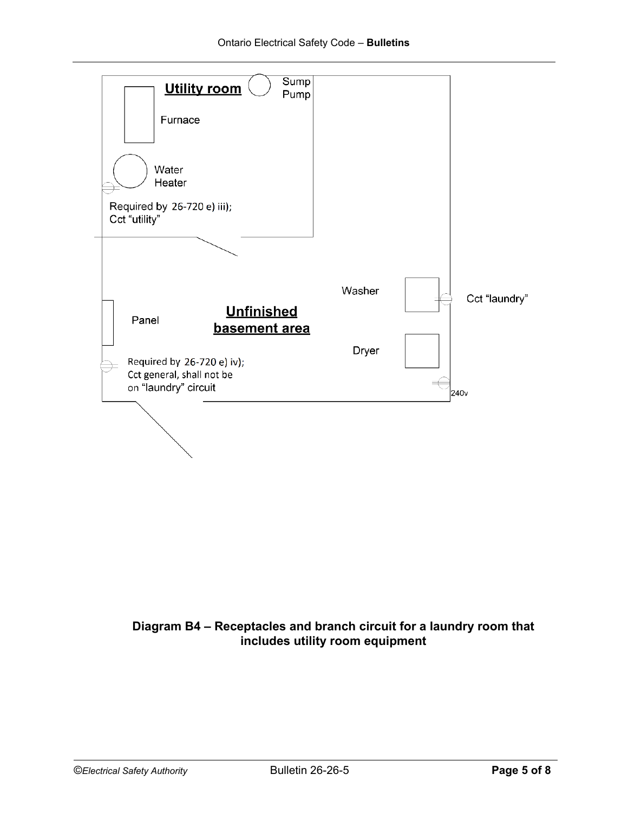

# **Diagram B4 – Receptacles and branch circuit for a laundry room that includes utility room equipment**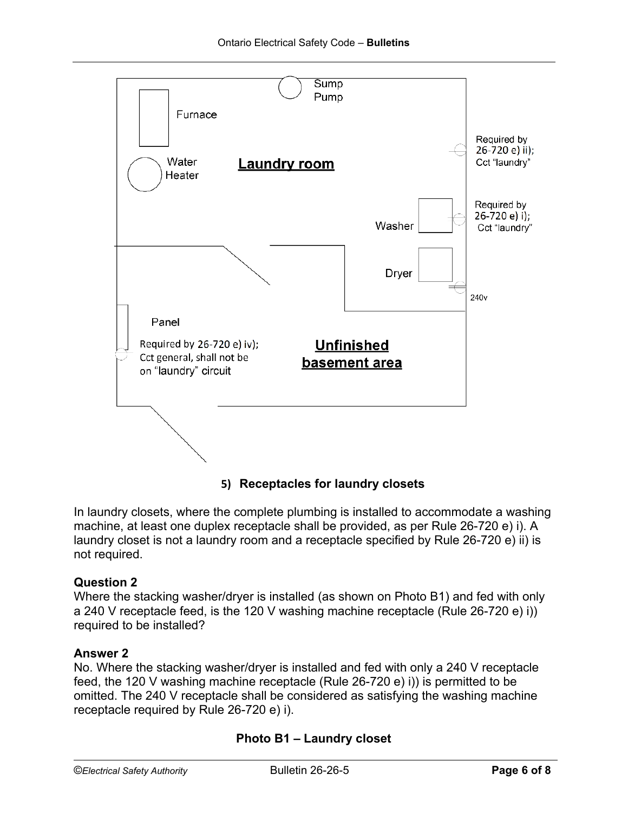

**5) Receptacles for laundry closets**

In laundry closets, where the complete plumbing is installed to accommodate a washing machine, at least one duplex receptacle shall be provided, as per Rule 26-720 e) i). A laundry closet is not a laundry room and a receptacle specified by Rule 26-720 e) ii) is not required.

# **Question 2**

Where the stacking washer/dryer is installed (as shown on Photo B1) and fed with only a 240 V receptacle feed, is the 120 V washing machine receptacle (Rule 26-720 e) i)) required to be installed?

## **Answer 2**

No. Where the stacking washer/dryer is installed and fed with only a 240 V receptacle feed, the 120 V washing machine receptacle (Rule 26-720 e) i)) is permitted to be omitted. The 240 V receptacle shall be considered as satisfying the washing machine receptacle required by Rule 26-720 e) i).

# **Photo B1 – Laundry closet**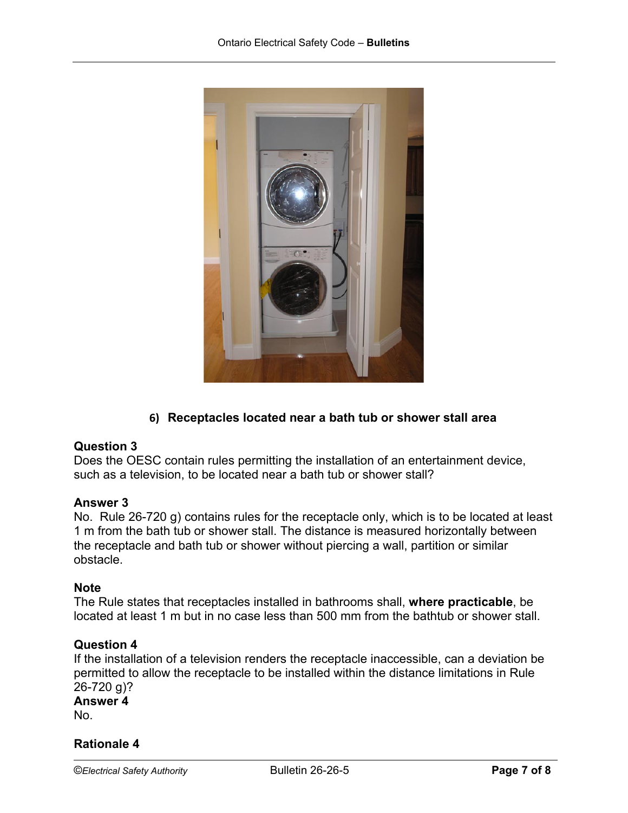

# **6) Receptacles located near a bath tub or shower stall area**

## **Question 3**

Does the OESC contain rules permitting the installation of an entertainment device, such as a television, to be located near a bath tub or shower stall?

### **Answer 3**

No. Rule 26-720 g) contains rules for the receptacle only, which is to be located at least 1 m from the bath tub or shower stall. The distance is measured horizontally between the receptacle and bath tub or shower without piercing a wall, partition or similar obstacle.

### **Note**

The Rule states that [receptacles](javascript:popup() installed in [bathrooms](javascript:popup() shall, **where practicable**, be located at least 1 m but in no case less than 500 mm from the bathtub or shower stall.

### **Question 4**

If the installation of a television renders the receptacle inaccessible, can a deviation be permitted to allow the receptacle to be installed within the distance limitations in Rule 26-720 g)?

# **Answer 4**  No.

## **Rationale 4**